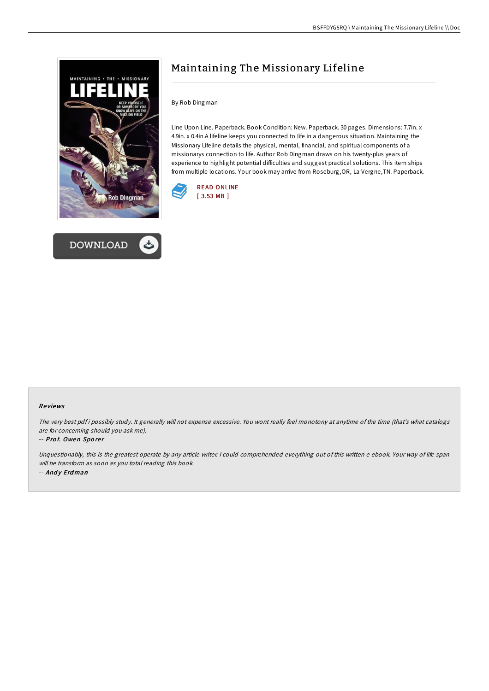



# Maintaining The Missionary Lifeline

By Rob Dingman

Line Upon Line. Paperback. Book Condition: New. Paperback. 30 pages. Dimensions: 7.7in. x 4.9in. x 0.4in.A lifeline keeps you connected to life in a dangerous situation. Maintaining the Missionary Lifeline details the physical, mental, financial, and spiritual components of a missionarys connection to life. Author Rob Dingman draws on his twenty-plus years of experience to highlight potential difficulties and suggest practical solutions. This item ships from multiple locations. Your book may arrive from Roseburg,OR, La Vergne,TN. Paperback.



## Re views

The very best pdf i possibly study. It generally will not expense excessive. You wont really feel monotony at anytime of the time (that's what catalogs are for concerning should you ask me).

## -- Prof. Owen Sporer

Unquestionably, this is the greatest operate by any article writer. <sup>I</sup> could comprehended everything out of this written <sup>e</sup> ebook. Your way of life span will be transform as soon as you total reading this book. -- Andy Erdman